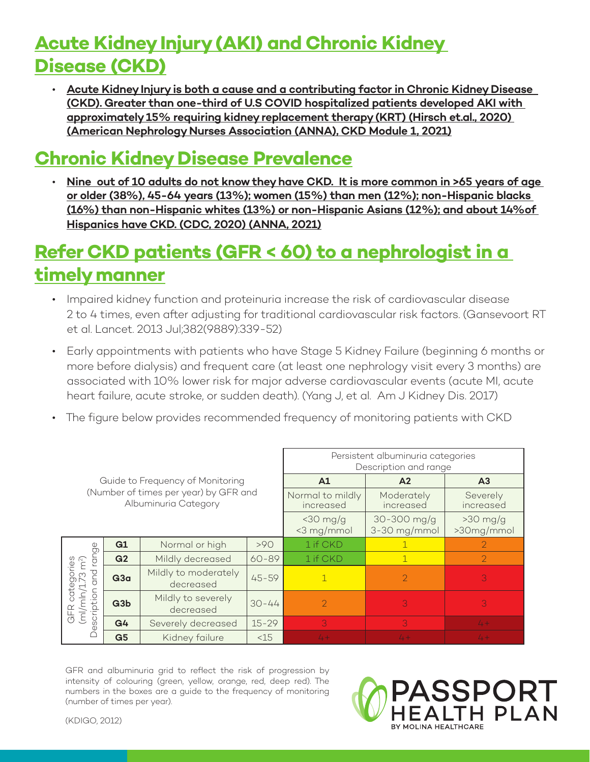# **Acute Kidney Injury (AKI) and Chronic Kidney Disease (CKD)**

• **Acute Kidney Injury is both a cause and a contributing factor in Chronic Kidney Disease (CKD). Greater than one-third of U.S COVID hospitalized patients developed AKI with approximately 15% requiring kidney replacement therapy (KRT) (Hirsch et.al., 2020) (American Nephrology Nurses Association (ANNA), CKD Module 1, 2021)**

### **Chronic Kidney Disease Prevalence**

• **Nine out of 10 adults do not know they have CKD. It is more common in >65 years of age or older (38%), 45-64 years (13%); women (15%) than men (12%); non-Hispanic blacks (16%) than non-Hispanic whites (13%) or non-Hispanic Asians (12%); and about 14%of Hispanics have CKD. (CDC, 2020) (ANNA, 2021)**

### **Refer CKD patients (GFR < 60) to a nephrologist in a timely manner**

- Impaired kidney function and proteinuria increase the risk of cardiovascular disease 2 to 4 times, even after adjusting for traditional cardiovascular risk factors. (Gansevoort RT et al. Lancet. 2013 Jul;382(9889):339-52)
- Early appointments with patients who have Stage 5 Kidney Failure (beginning 6 months or more before dialysis) and frequent care (at least one nephrology visit every 3 months) are associated with 10% lower risk for major adverse cardiovascular events (acute MI, acute heart failure, acute stroke, or sudden death). (Yang J, et al. Am J Kidney Dis. 2017)
- The figure below provides recommended frequency of monitoring patients with CKD

|                                                                                                        |                 |                                   |                               | Persistent albuminuria categories<br>Description and range |                             |                          |
|--------------------------------------------------------------------------------------------------------|-----------------|-----------------------------------|-------------------------------|------------------------------------------------------------|-----------------------------|--------------------------|
| Guide to Frequency of Monitoring<br>(Number of times per year) by GFR and<br>Albuminuria Category      |                 |                                   | A1                            | A <sub>2</sub>                                             | A <sub>3</sub>              |                          |
|                                                                                                        |                 |                                   | Normal to mildly<br>increased | Moderately<br>increased                                    | Severely<br>increased       |                          |
|                                                                                                        |                 |                                   |                               | $<$ 30 mg/g<br><3 mg/mmol                                  | 30-300 mg/g<br>3-30 mg/mmol | $>30$ mg/g<br>>30mg/mmol |
| 9<br>ے<br>ס<br>categories<br>nln/1.73 m <sup>2</sup> )<br>and<br>G<br>(m/mn/1<br>scription<br>GFR<br>Φ | G1              | Normal or high                    | >90                           | 1 if CKD                                                   |                             | $\overline{2}$           |
|                                                                                                        | G <sub>2</sub>  | Mildly decreased                  | $60 - 89$                     | 1 if CKD                                                   |                             | $\overline{2}$           |
|                                                                                                        | G <sub>3a</sub> | Mildly to moderately<br>decreased | $45 - 59$                     | $\mathbf{1}$                                               | $\mathcal{P}$               | 3                        |
|                                                                                                        | G3b             | Mildly to severely<br>decreased   | $30 - 44$                     | $\overline{2}$                                             | 3                           | 3                        |
|                                                                                                        | G <sub>4</sub>  | Severely decreased                | $15 - 29$                     | 3                                                          | 3                           | $\Delta +$               |
|                                                                                                        | G <sub>5</sub>  | Kidney failure                    | < 15                          | $\Delta +$                                                 |                             | $\sqrt{1+}$              |

GFR and albuminuria grid to reflect the risk of progression by intensity of colouring (green, yellow, orange, red, deep red). The numbers in the boxes are a guide to the frequency of monitoring (number of times per year).



(KDIGO, 2012)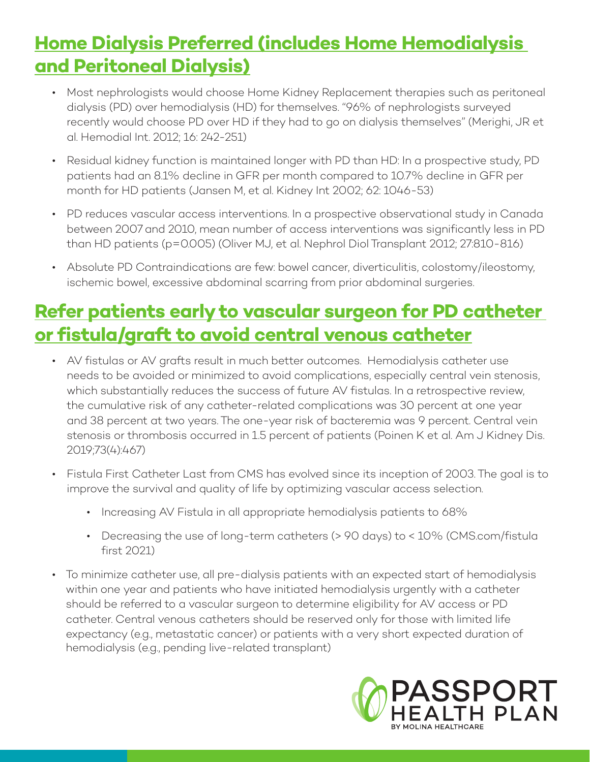## **Home Dialysis Preferred (includes Home Hemodialysis and Peritoneal Dialysis)**

- Most nephrologists would choose Home Kidney Replacement therapies such as peritoneal dialysis (PD) over hemodialysis (HD) for themselves. "96% of nephrologists surveyed recently would choose PD over HD if they had to go on dialysis themselves" (Merighi, JR et al. Hemodial Int. 2012; 16: 242-251)
- Residual kidney function is maintained longer with PD than HD: In a prospective study, PD patients had an 8.1% decline in GFR per month compared to 10.7% decline in GFR per month for HD patients (Jansen M, et al. Kidney Int 2002; 62: 1046-53)
- PD reduces vascular access interventions. In a prospective observational study in Canada between 2007 and 2010, mean number of access interventions was significantly less in PD than HD patients (p=0.005) (Oliver MJ, et al. Nephrol Diol Transplant 2012; 27:810-816)
- Absolute PD Contraindications are few: bowel cancer, diverticulitis, colostomy/ileostomy, ischemic bowel, excessive abdominal scarring from prior abdominal surgeries.

## **Refer patients early to vascular surgeon for PD catheter or fistula/graft to avoid central venous catheter**

- AV fistulas or AV grafts result in much better outcomes. Hemodialysis catheter use needs to be avoided or minimized to avoid complications, especially central vein stenosis, which substantially reduces the success of future AV fistulas. In a retrospective review, the cumulative risk of any catheter-related complications was 30 percent at one year and 38 percent at two years. The one-year risk of bacteremia was 9 percent. Central vein stenosis or thrombosis occurred in 1.5 percent of patients (Poinen K et al. Am J Kidney Dis. 2019;73(4):467)
- Fistula First Catheter Last from CMS has evolved since its inception of 2003. The goal is to improve the survival and quality of life by optimizing vascular access selection.
	- Increasing AV Fistula in all appropriate hemodialysis patients to 68%
	- Decreasing the use of long-term catheters (> 90 days) to < 10% (CMS.com/fistula [first 2021\)](https://esrdncc.org/en/fistula-first-catheter-last)
- To minimize catheter use, all pre-dialysis patients with an expected start of hemodialysis within one year and patients who have initiated hemodialysis urgently with a catheter should be referred to a vascular surgeon to determine eligibility for AV access or PD catheter. Central venous catheters should be reserved only for those with limited life expectancy (e.g., metastatic cancer) or patients with a very short expected duration of hemodialysis (e.g., pending live-related transplant)